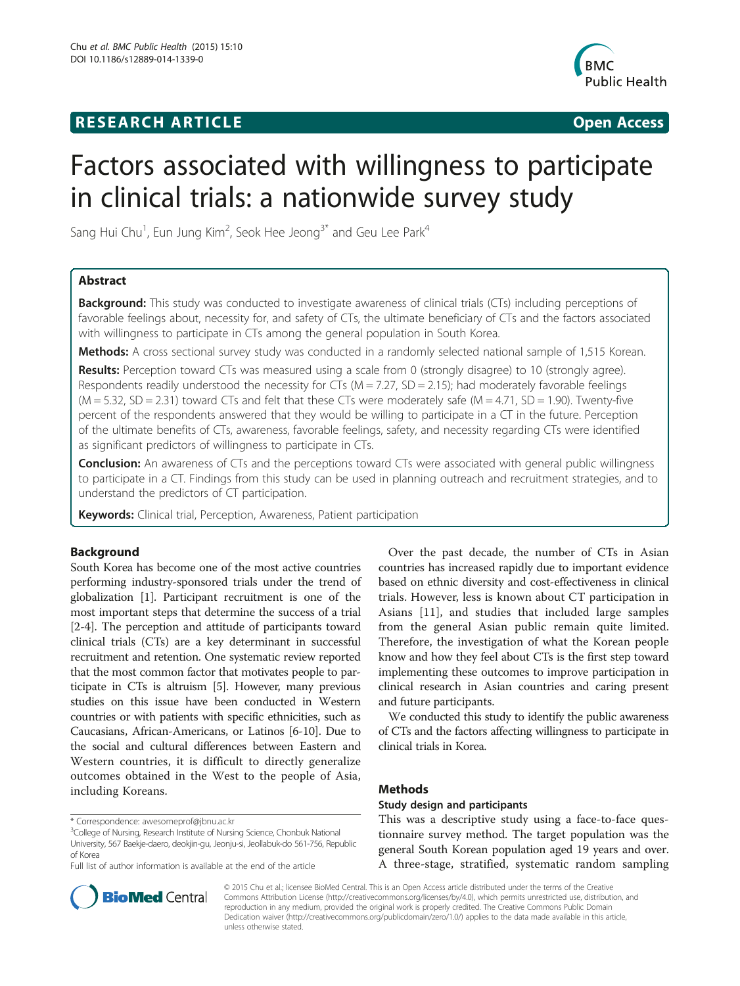## **RESEARCH ARTICLE Example 2014 12:30 The SEAR CHIPS 2014 12:30 The Open Access**



# Factors associated with willingness to participate in clinical trials: a nationwide survey study

Sang Hui Chu<sup>1</sup>, Eun Jung Kim<sup>2</sup>, Seok Hee Jeong $^{3^*}$  and Geu Lee Park $^4$ 

### Abstract

**Background:** This study was conducted to investigate awareness of clinical trials (CTs) including perceptions of favorable feelings about, necessity for, and safety of CTs, the ultimate beneficiary of CTs and the factors associated with willingness to participate in CTs among the general population in South Korea.

Methods: A cross sectional survey study was conducted in a randomly selected national sample of 1,515 Korean.

Results: Perception toward CTs was measured using a scale from 0 (strongly disagree) to 10 (strongly agree). Respondents readily understood the necessity for CTs ( $M = 7.27$ , SD = 2.15); had moderately favorable feelings  $(M = 5.32, SD = 2.31)$  toward CTs and felt that these CTs were moderately safe  $(M = 4.71, SD = 1.90)$ . Twenty-five percent of the respondents answered that they would be willing to participate in a CT in the future. Perception of the ultimate benefits of CTs, awareness, favorable feelings, safety, and necessity regarding CTs were identified as significant predictors of willingness to participate in CTs.

**Conclusion:** An awareness of CTs and the perceptions toward CTs were associated with general public willingness to participate in a CT. Findings from this study can be used in planning outreach and recruitment strategies, and to understand the predictors of CT participation.

**Keywords:** Clinical trial, Perception, Awareness, Patient participation

#### Background

South Korea has become one of the most active countries performing industry-sponsored trials under the trend of globalization [\[1\]](#page-6-0). Participant recruitment is one of the most important steps that determine the success of a trial [[2-4\]](#page-6-0). The perception and attitude of participants toward clinical trials (CTs) are a key determinant in successful recruitment and retention. One systematic review reported that the most common factor that motivates people to participate in CTs is altruism [\[5\]](#page-6-0). However, many previous studies on this issue have been conducted in Western countries or with patients with specific ethnicities, such as Caucasians, African-Americans, or Latinos [[6](#page-6-0)[-10](#page-7-0)]. Due to the social and cultural differences between Eastern and Western countries, it is difficult to directly generalize outcomes obtained in the West to the people of Asia, including Koreans.

\* Correspondence: [awesomeprof@jbnu.ac.kr](mailto:awesomeprof@jbnu.ac.kr) <sup>3</sup>

Full list of author information is available at the end of the article



We conducted this study to identify the public awareness of CTs and the factors affecting willingness to participate in clinical trials in Korea.

#### **Methods**

#### Study design and participants

This was a descriptive study using a face-to-face questionnaire survey method. The target population was the general South Korean population aged 19 years and over. A three-stage, stratified, systematic random sampling



© 2015 Chu et al.; licensee BioMed Central. This is an Open Access article distributed under the terms of the Creative Commons Attribution License [\(http://creativecommons.org/licenses/by/4.0\)](http://creativecommons.org/licenses/by/4.0), which permits unrestricted use, distribution, and reproduction in any medium, provided the original work is properly credited. The Creative Commons Public Domain Dedication waiver [\(http://creativecommons.org/publicdomain/zero/1.0/](http://creativecommons.org/publicdomain/zero/1.0/)) applies to the data made available in this article, unless otherwise stated.

<sup>&</sup>lt;sup>3</sup>College of Nursing, Research Institute of Nursing Science, Chonbuk National University, 567 Baekje-daero, deokjin-gu, Jeonju-si, Jeollabuk-do 561-756, Republic of Korea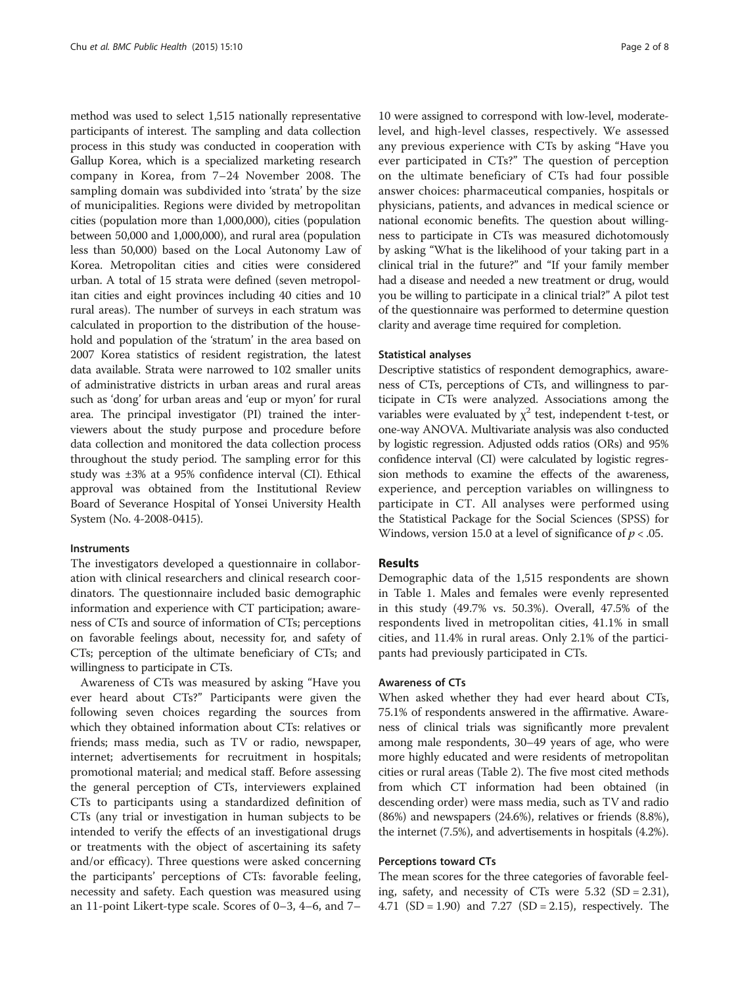method was used to select 1,515 nationally representative participants of interest. The sampling and data collection process in this study was conducted in cooperation with Gallup Korea, which is a specialized marketing research company in Korea, from 7–24 November 2008. The sampling domain was subdivided into 'strata' by the size of municipalities. Regions were divided by metropolitan cities (population more than 1,000,000), cities (population between 50,000 and 1,000,000), and rural area (population less than 50,000) based on the Local Autonomy Law of Korea. Metropolitan cities and cities were considered urban. A total of 15 strata were defined (seven metropolitan cities and eight provinces including 40 cities and 10 rural areas). The number of surveys in each stratum was calculated in proportion to the distribution of the household and population of the 'stratum' in the area based on 2007 Korea statistics of resident registration, the latest data available. Strata were narrowed to 102 smaller units of administrative districts in urban areas and rural areas such as 'dong' for urban areas and 'eup or myon' for rural area. The principal investigator (PI) trained the interviewers about the study purpose and procedure before data collection and monitored the data collection process throughout the study period. The sampling error for this study was ±3% at a 95% confidence interval (CI). Ethical approval was obtained from the Institutional Review Board of Severance Hospital of Yonsei University Health System (No. 4-2008-0415).

#### **Instruments**

The investigators developed a questionnaire in collaboration with clinical researchers and clinical research coordinators. The questionnaire included basic demographic information and experience with CT participation; awareness of CTs and source of information of CTs; perceptions on favorable feelings about, necessity for, and safety of CTs; perception of the ultimate beneficiary of CTs; and willingness to participate in CTs.

Awareness of CTs was measured by asking "Have you ever heard about CTs?" Participants were given the following seven choices regarding the sources from which they obtained information about CTs: relatives or friends; mass media, such as TV or radio, newspaper, internet; advertisements for recruitment in hospitals; promotional material; and medical staff. Before assessing the general perception of CTs, interviewers explained CTs to participants using a standardized definition of CTs (any trial or investigation in human subjects to be intended to verify the effects of an investigational drugs or treatments with the object of ascertaining its safety and/or efficacy). Three questions were asked concerning the participants' perceptions of CTs: favorable feeling, necessity and safety. Each question was measured using an 11-point Likert-type scale. Scores of 0–3, 4–6, and 7–

10 were assigned to correspond with low-level, moderatelevel, and high-level classes, respectively. We assessed any previous experience with CTs by asking "Have you ever participated in CTs?" The question of perception on the ultimate beneficiary of CTs had four possible answer choices: pharmaceutical companies, hospitals or physicians, patients, and advances in medical science or national economic benefits. The question about willingness to participate in CTs was measured dichotomously by asking "What is the likelihood of your taking part in a clinical trial in the future?" and "If your family member had a disease and needed a new treatment or drug, would you be willing to participate in a clinical trial?" A pilot test of the questionnaire was performed to determine question clarity and average time required for completion.

#### Statistical analyses

Descriptive statistics of respondent demographics, awareness of CTs, perceptions of CTs, and willingness to participate in CTs were analyzed. Associations among the variables were evaluated by  $\chi^2$  test, independent t-test, or one-way ANOVA. Multivariate analysis was also conducted by logistic regression. Adjusted odds ratios (ORs) and 95% confidence interval (CI) were calculated by logistic regression methods to examine the effects of the awareness, experience, and perception variables on willingness to participate in CT. All analyses were performed using the Statistical Package for the Social Sciences (SPSS) for Windows, version 15.0 at a level of significance of  $p < .05$ .

#### Results

Demographic data of the 1,515 respondents are shown in Table [1](#page-2-0). Males and females were evenly represented in this study (49.7% vs. 50.3%). Overall, 47.5% of the respondents lived in metropolitan cities, 41.1% in small cities, and 11.4% in rural areas. Only 2.1% of the participants had previously participated in CTs.

#### Awareness of CTs

When asked whether they had ever heard about CTs, 75.1% of respondents answered in the affirmative. Awareness of clinical trials was significantly more prevalent among male respondents, 30–49 years of age, who were more highly educated and were residents of metropolitan cities or rural areas (Table [2](#page-2-0)). The five most cited methods from which CT information had been obtained (in descending order) were mass media, such as TV and radio (86%) and newspapers (24.6%), relatives or friends (8.8%), the internet (7.5%), and advertisements in hospitals (4.2%).

#### Perceptions toward CTs

The mean scores for the three categories of favorable feeling, safety, and necessity of CTs were 5.32 (SD = 2.31), 4.71 (SD = 1.90) and 7.27 (SD = 2.15), respectively. The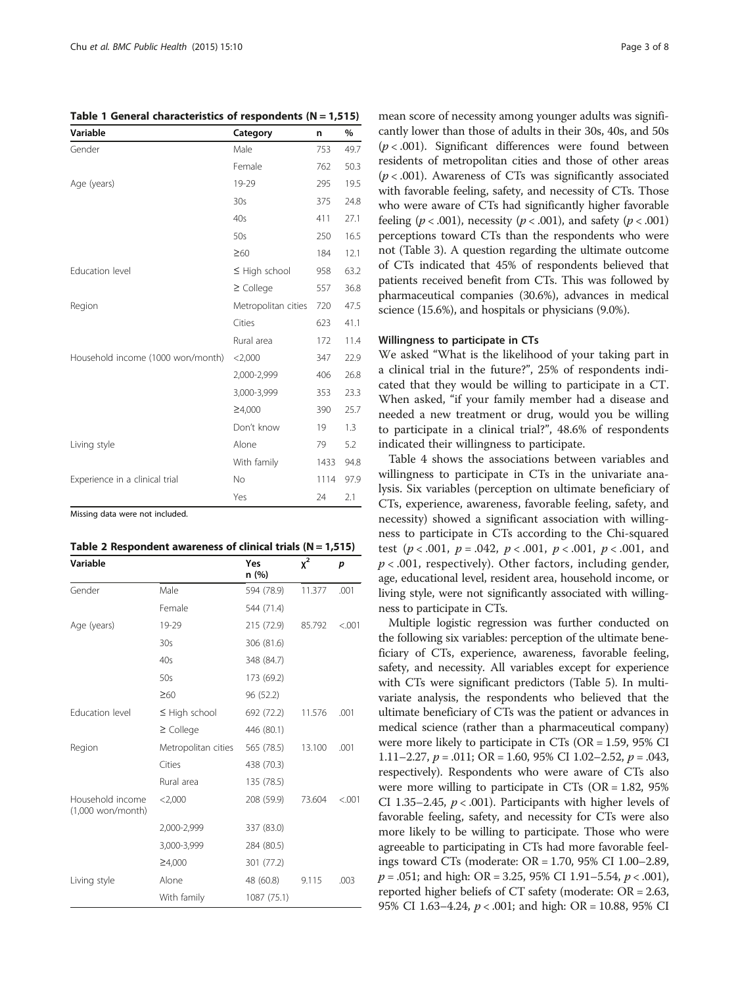<span id="page-2-0"></span>

| Table 1 General characteristics of respondents $(N = 1,515)$ |  |  |  |
|--------------------------------------------------------------|--|--|--|
|--------------------------------------------------------------|--|--|--|

| Variable                          | Category            | n    | %    |
|-----------------------------------|---------------------|------|------|
| Gender                            | Male                | 753  | 49.7 |
|                                   | Female              | 762  | 50.3 |
| Age (years)                       | 19-29               | 295  | 19.5 |
|                                   | 30s                 | 375  | 24.8 |
|                                   | 40s                 | 411  | 27.1 |
|                                   | 50s                 | 250  | 16.5 |
|                                   | $\geq 60$           | 184  | 12.1 |
| Education level                   | $\leq$ High school  | 958  | 63.2 |
|                                   | $\geq$ College      | 557  | 36.8 |
| Region                            | Metropolitan cities | 720  | 47.5 |
|                                   | Cities              | 623  | 41.1 |
|                                   | Rural area          | 172  | 11.4 |
| Household income (1000 won/month) | $<$ 2,000           | 347  | 22.9 |
|                                   | 2,000-2,999         | 406  | 26.8 |
|                                   | 3,000-3,999         | 353  | 23.3 |
|                                   | $\geq 4,000$        | 390  | 25.7 |
|                                   | Don't know          | 19   | 1.3  |
| Living style                      | Alone               | 79   | 5.2  |
|                                   | With family         | 1433 | 94.8 |
| Experience in a clinical trial    | <b>No</b>           | 1114 | 97.9 |
|                                   | Yes                 | 24   | 2.1  |

Missing data were not included.

Table 2 Respondent awareness of clinical trials  $(N = 1,515)$ 

| Variable                              |                     | Yes<br>n (%) | $x^2$  | p       |
|---------------------------------------|---------------------|--------------|--------|---------|
| Gender                                | Male                | 594 (78.9)   | 11.377 | .001    |
|                                       | Female              | 544 (71.4)   |        |         |
| Age (years)                           | 19-29               | 215 (72.9)   | 85.792 | < 0.001 |
|                                       | 30s                 | 306 (81.6)   |        |         |
|                                       | 40s                 | 348 (84.7)   |        |         |
|                                       | 50s                 | 173 (69.2)   |        |         |
|                                       | $\geq 60$           | 96 (52.2)    |        |         |
| Education level                       | $\leq$ High school  | 692 (72.2)   | 11.576 | .001    |
|                                       | $\geq$ College      | 446 (80.1)   |        |         |
| Region                                | Metropolitan cities | 565 (78.5)   | 13.100 | .001    |
|                                       | Cities              | 438 (70.3)   |        |         |
|                                       | Rural area          | 135 (78.5)   |        |         |
| Household income<br>(1,000 won/month) | < 2,000             | 208 (59.9)   | 73.604 | < 0.001 |
|                                       | 2,000-2,999         | 337 (83.0)   |        |         |
|                                       | 3,000-3,999         | 284 (80.5)   |        |         |
|                                       | $\geq 4,000$        | 301 (77.2)   |        |         |
| Living style                          | Alone               | 48 (60.8)    | 9.115  | .003    |
|                                       | With family         | 1087 (75.1)  |        |         |

mean score of necessity among younger adults was significantly lower than those of adults in their 30s, 40s, and 50s  $(p < .001)$ . Significant differences were found between residents of metropolitan cities and those of other areas  $(p < .001)$ . Awareness of CTs was significantly associated with favorable feeling, safety, and necessity of CTs. Those who were aware of CTs had significantly higher favorable feeling ( $p < .001$ ), necessity ( $p < .001$ ), and safety ( $p < .001$ ) perceptions toward CTs than the respondents who were not (Table [3](#page-3-0)). A question regarding the ultimate outcome of CTs indicated that 45% of respondents believed that patients received benefit from CTs. This was followed by pharmaceutical companies (30.6%), advances in medical science (15.6%), and hospitals or physicians (9.0%).

#### Willingness to participate in CTs

We asked "What is the likelihood of your taking part in a clinical trial in the future?", 25% of respondents indicated that they would be willing to participate in a CT. When asked, "if your family member had a disease and needed a new treatment or drug, would you be willing to participate in a clinical trial?", 48.6% of respondents indicated their willingness to participate.

Table [4](#page-4-0) shows the associations between variables and willingness to participate in CTs in the univariate analysis. Six variables (perception on ultimate beneficiary of CTs, experience, awareness, favorable feeling, safety, and necessity) showed a significant association with willingness to participate in CTs according to the Chi-squared test  $(p < .001, p = .042, p < .001, p < .001, p < .001,$  and  $p < .001$ , respectively). Other factors, including gender, age, educational level, resident area, household income, or living style, were not significantly associated with willingness to participate in CTs.

Multiple logistic regression was further conducted on the following six variables: perception of the ultimate beneficiary of CTs, experience, awareness, favorable feeling, safety, and necessity. All variables except for experience with CTs were significant predictors (Table [5](#page-5-0)). In multivariate analysis, the respondents who believed that the ultimate beneficiary of CTs was the patient or advances in medical science (rather than a pharmaceutical company) were more likely to participate in CTs (OR = 1.59, 95% CI 1.11–2.27,  $p = .011$ ; OR = 1.60, 95% CI 1.02–2.52,  $p = .043$ , respectively). Respondents who were aware of CTs also were more willing to participate in CTs ( $OR = 1.82$ , 95%) CI 1.35–2.45,  $p < .001$ ). Participants with higher levels of favorable feeling, safety, and necessity for CTs were also more likely to be willing to participate. Those who were agreeable to participating in CTs had more favorable feelings toward CTs (moderate: OR = 1.70, 95% CI 1.00–2.89,  $p = .051$ ; and high: OR = 3.25, 95% CI 1.91–5.54,  $p < .001$ ), reported higher beliefs of CT safety (moderate: OR = 2.63, 95% CI 1.63–4.24, p < .001; and high: OR = 10.88, 95% CI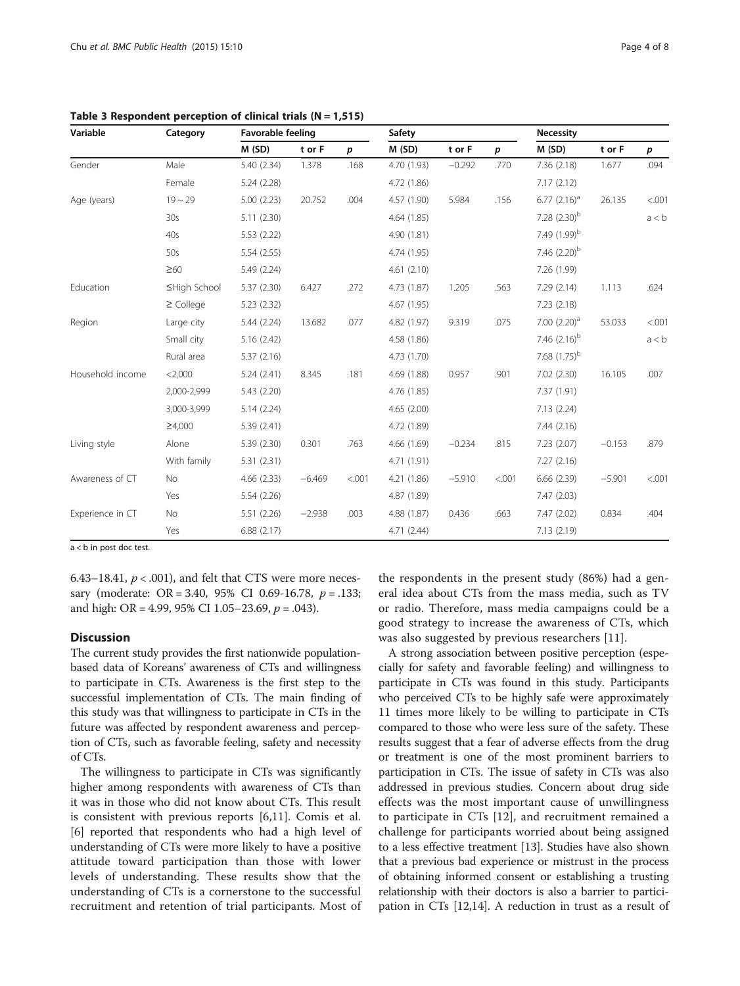| Variable         | Category       | Favorable feeling |          | Safety |             | <b>Necessity</b> |        |                   |          |        |
|------------------|----------------|-------------------|----------|--------|-------------|------------------|--------|-------------------|----------|--------|
|                  |                | M(SD)             | t or F   | p      | M(SD)       | t or F           | p      | M(SD)             | t or F   | p      |
| Gender           | Male           | 5.40(2.34)        | 1.378    | .168   | 4.70 (1.93) | $-0.292$         | .770   | 7.36(2.18)        | 1.677    | .094   |
|                  | Female         | 5.24(2.28)        |          |        | 4.72 (1.86) |                  |        | 7.17(2.12)        |          |        |
| Age (years)      | $19 - 29$      | 5.00(2.23)        | 20.752   | .004   | 4.57 (1.90) | 5.984            | .156   | $6.77(2.16)^a$    | 26.135   | < .001 |
|                  | 30s            | 5.11(2.30)        |          |        | 4.64 (1.85) |                  |        | 7.28 $(2.30)^{b}$ |          | a < b  |
|                  | 40s            | 5.53(2.22)        |          |        | 4.90 (1.81) |                  |        | 7.49 $(1.99)^{b}$ |          |        |
|                  | 50s            | 5.54(2.55)        |          |        | 4.74 (1.95) |                  |        | 7.46 $(2.20)^b$   |          |        |
|                  | $\geq 60$      | 5.49 (2.24)       |          |        | 4.61(2.10)  |                  |        | 7.26 (1.99)       |          |        |
| Education        | ≤High School   | 5.37(2.30)        | 6.427    | .272   | 4.73 (1.87) | 1.205            | .563   | 7.29(2.14)        | 1.113    | .624   |
|                  | $\geq$ College | 5.23(2.32)        |          |        | 4.67 (1.95) |                  |        | 7.23(2.18)        |          |        |
| Region           | Large city     | 5.44(2.24)        | 13.682   | .077   | 4.82 (1.97) | 9.319            | .075   | 7.00 $(2.20)^a$   | 53.033   | < .001 |
|                  | Small city     | 5.16(2.42)        |          |        | 4.58 (1.86) |                  |        | 7.46 $(2.16)^b$   |          | a < b  |
|                  | Rural area     | 5.37(2.16)        |          |        | 4.73 (1.70) |                  |        | 7.68 $(1.75)^b$   |          |        |
| Household income | < 2,000        | 5.24(2.41)        | 8.345    | .181   | 4.69 (1.88) | 0.957            | .901   | 7.02(2.30)        | 16.105   | .007   |
|                  | 2,000-2,999    | 5.43 (2.20)       |          |        | 4.76 (1.85) |                  |        | 7.37(1.91)        |          |        |
|                  | 3,000-3,999    | 5.14(2.24)        |          |        | 4.65(2.00)  |                  |        | 7.13(2.24)        |          |        |
|                  | $\geq 4,000$   | 5.39 (2.41)       |          |        | 4.72 (1.89) |                  |        | 7.44(2.16)        |          |        |
| Living style     | Alone          | 5.39(2.30)        | 0.301    | .763   | 4.66 (1.69) | $-0.234$         | .815   | 7.23(2.07)        | $-0.153$ | .879   |
|                  | With family    | 5.31(2.31)        |          |        | 4.71 (1.91) |                  |        | 7.27(2.16)        |          |        |
| Awareness of CT  | <b>No</b>      | 4.66(2.33)        | $-6.469$ | < .001 | 4.21 (1.86) | $-5.910$         | < .001 | 6.66(2.39)        | $-5.901$ | < .001 |
|                  | Yes            | 5.54(2.26)        |          |        | 4.87 (1.89) |                  |        | 7.47(2.03)        |          |        |
| Experience in CT | <b>No</b>      | 5.51(2.26)        | $-2.938$ | .003   | 4.88 (1.87) | 0.436            | .663   | 7.47(2.02)        | 0.834    | .404   |
|                  | Yes            | 6.88(2.17)        |          |        | 4.71 (2.44) |                  |        | 7.13(2.19)        |          |        |

<span id="page-3-0"></span>Table 3 Respondent perception of clinical trials  $(N = 1.515)$ 

a < b in post doc test.

6.43–18.41,  $p < .001$ ), and felt that CTS were more necessary (moderate: OR = 3.40, 95% CI 0.69-16.78,  $p = .133$ ; and high: OR = 4.99, 95% CI 1.05–23.69,  $p = .043$ ).

#### **Discussion**

The current study provides the first nationwide populationbased data of Koreans' awareness of CTs and willingness to participate in CTs. Awareness is the first step to the successful implementation of CTs. The main finding of this study was that willingness to participate in CTs in the future was affected by respondent awareness and perception of CTs, such as favorable feeling, safety and necessity of CTs.

The willingness to participate in CTs was significantly higher among respondents with awareness of CTs than it was in those who did not know about CTs. This result is consistent with previous reports [[6,](#page-6-0)[11\]](#page-7-0). Comis et al. [[6\]](#page-6-0) reported that respondents who had a high level of understanding of CTs were more likely to have a positive attitude toward participation than those with lower levels of understanding. These results show that the understanding of CTs is a cornerstone to the successful recruitment and retention of trial participants. Most of

the respondents in the present study (86%) had a general idea about CTs from the mass media, such as TV or radio. Therefore, mass media campaigns could be a good strategy to increase the awareness of CTs, which was also suggested by previous researchers [\[11\]](#page-7-0).

A strong association between positive perception (especially for safety and favorable feeling) and willingness to participate in CTs was found in this study. Participants who perceived CTs to be highly safe were approximately 11 times more likely to be willing to participate in CTs compared to those who were less sure of the safety. These results suggest that a fear of adverse effects from the drug or treatment is one of the most prominent barriers to participation in CTs. The issue of safety in CTs was also addressed in previous studies. Concern about drug side effects was the most important cause of unwillingness to participate in CTs [\[12](#page-7-0)], and recruitment remained a challenge for participants worried about being assigned to a less effective treatment [\[13](#page-7-0)]. Studies have also shown that a previous bad experience or mistrust in the process of obtaining informed consent or establishing a trusting relationship with their doctors is also a barrier to participation in CTs [\[12,14](#page-7-0)]. A reduction in trust as a result of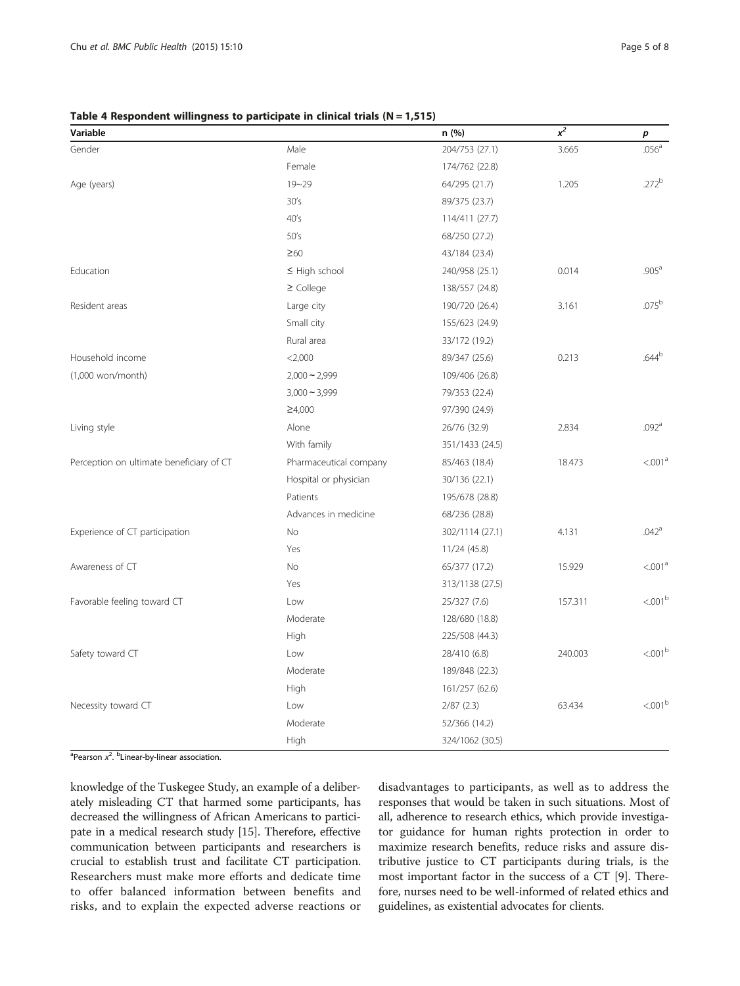#### <span id="page-4-0"></span>Table 4 Respondent willingness to participate in clinical trials ( $N = 1,515$ )

| Variable                                 |                        | n(%)            | $x^2$   | р                    |
|------------------------------------------|------------------------|-----------------|---------|----------------------|
| Gender                                   | Male                   | 204/753 (27.1)  | 3.665   | .056 <sup>a</sup>    |
|                                          | Female                 | 174/762 (22.8)  |         |                      |
| Age (years)                              | $19 - 29$              | 64/295 (21.7)   | 1.205   | .272 <sup>b</sup>    |
|                                          | 30's                   | 89/375 (23.7)   |         |                      |
|                                          | 40's                   | 114/411 (27.7)  |         |                      |
|                                          | 50's                   | 68/250 (27.2)   |         |                      |
|                                          | $\geq 60$              | 43/184 (23.4)   |         |                      |
| Education                                | $\leq$ High school     | 240/958 (25.1)  | 0.014   | $.905^{\circ}$       |
|                                          | $\geq$ College         | 138/557 (24.8)  |         |                      |
| Resident areas                           | Large city             | 190/720 (26.4)  | 3.161   | $.075^{\rm b}$       |
|                                          | Small city             | 155/623 (24.9)  |         |                      |
|                                          | Rural area             | 33/172 (19.2)   |         |                      |
| Household income                         | $<$ 2,000              | 89/347 (25.6)   | 0.213   | .644 <sup>b</sup>    |
| $(1,000$ won/month)                      | $2,000 - 2,999$        | 109/406 (26.8)  |         |                      |
|                                          | $3,000 - 3,999$        | 79/353 (22.4)   |         |                      |
|                                          | $\geq 4,000$           | 97/390 (24.9)   |         |                      |
| Living style                             | Alone                  | 26/76 (32.9)    | 2.834   | .092 <sup>a</sup>    |
|                                          | With family            | 351/1433 (24.5) |         |                      |
| Perception on ultimate beneficiary of CT | Pharmaceutical company | 85/463 (18.4)   | 18.473  | < 0.001 <sup>a</sup> |
|                                          | Hospital or physician  | 30/136 (22.1)   |         |                      |
|                                          | Patients               | 195/678 (28.8)  |         |                      |
|                                          | Advances in medicine   | 68/236 (28.8)   |         |                      |
| Experience of CT participation           | No                     | 302/1114 (27.1) | 4.131   | .042 <sup>a</sup>    |
|                                          | Yes                    | 11/24 (45.8)    |         |                      |
| Awareness of CT                          | <b>No</b>              | 65/377 (17.2)   | 15.929  | < 001 <sup>a</sup>   |
|                                          | Yes                    | 313/1138 (27.5) |         |                      |
| Favorable feeling toward CT              | Low                    | 25/327 (7.6)    | 157.311 | < 001 <sup>b</sup>   |
|                                          | Moderate               | 128/680 (18.8)  |         |                      |
|                                          | High                   | 225/508 (44.3)  |         |                      |
| Safety toward CT                         | Low                    | 28/410 (6.8)    | 240.003 | $< 0.001^{\rm b}$    |
|                                          | Moderate               | 189/848 (22.3)  |         |                      |
|                                          | High                   | 161/257 (62.6)  |         |                      |
| Necessity toward CT                      | Low                    | 2/87(2.3)       | 63.434  | $< 0.001^{\rm b}$    |
|                                          | Moderate               | 52/366 (14.2)   |         |                      |
|                                          | High                   | 324/1062 (30.5) |         |                      |

<sup>a</sup>Pearson x<sup>2</sup>. <sup>b</sup>Linear-by-linear association.

knowledge of the Tuskegee Study, an example of a deliberately misleading CT that harmed some participants, has decreased the willingness of African Americans to participate in a medical research study [[15](#page-7-0)]. Therefore, effective communication between participants and researchers is crucial to establish trust and facilitate CT participation. Researchers must make more efforts and dedicate time to offer balanced information between benefits and risks, and to explain the expected adverse reactions or

disadvantages to participants, as well as to address the responses that would be taken in such situations. Most of all, adherence to research ethics, which provide investigator guidance for human rights protection in order to maximize research benefits, reduce risks and assure distributive justice to CT participants during trials, is the most important factor in the success of a CT [[9\]](#page-7-0). Therefore, nurses need to be well-informed of related ethics and guidelines, as existential advocates for clients.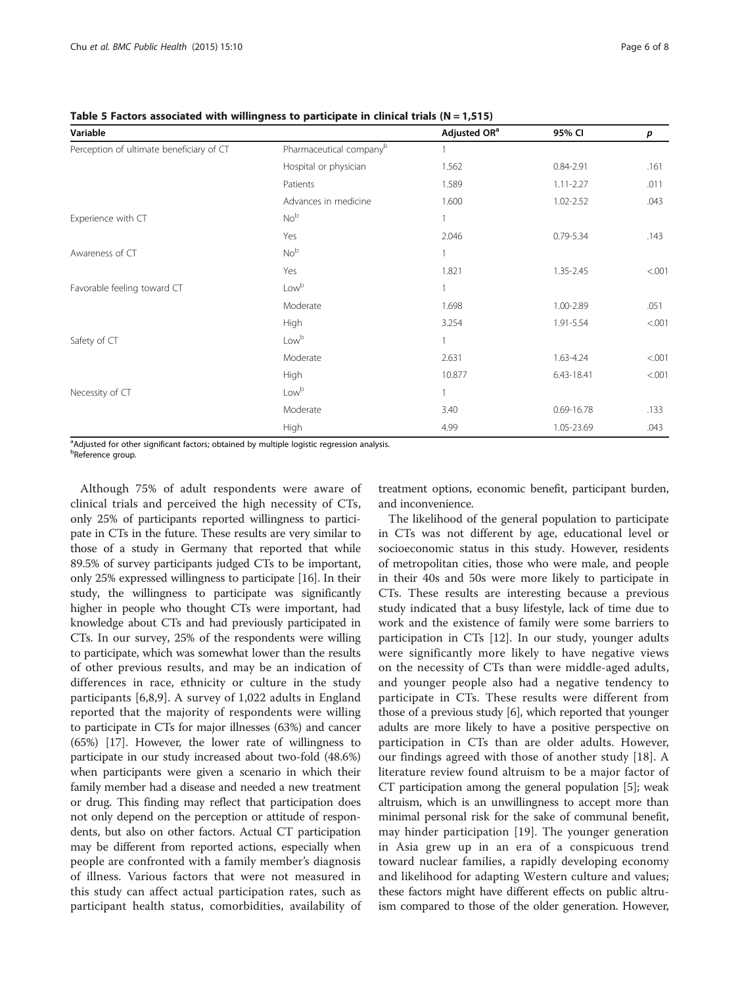| Variable                                 |                                     | Adjusted OR <sup>a</sup> | 95% CI        | p      |
|------------------------------------------|-------------------------------------|--------------------------|---------------|--------|
| Perception of ultimate beneficiary of CT | Pharmaceutical company <sup>b</sup> |                          |               |        |
|                                          | Hospital or physician               | 1.562                    | 0.84-2.91     | .161   |
|                                          | Patients                            | 1.589                    | $1.11 - 2.27$ | .011   |
|                                          | Advances in medicine                | 1.600                    | 1.02-2.52     | .043   |
| Experience with CT                       | No <sup>b</sup>                     |                          |               |        |
|                                          | Yes                                 | 2.046                    | $0.79 - 5.34$ | .143   |
| Awareness of CT                          | No <sup>b</sup>                     | $\mathbf{1}$             |               |        |
|                                          | Yes                                 | 1.821                    | 1.35-2.45     | < .001 |
| Favorable feeling toward CT              | Lowb                                |                          |               |        |
|                                          | Moderate                            | 1.698                    | 1.00-2.89     | .051   |
|                                          | High                                | 3.254                    | 1.91-5.54     | < .001 |
| Safety of CT                             | Lowb                                | 1                        |               |        |
|                                          | Moderate                            | 2.631                    | 1.63-4.24     | < .001 |
|                                          | High                                | 10.877                   | 6.43-18.41    | < .001 |
| Necessity of CT                          | Lowb                                | 1                        |               |        |
|                                          | Moderate                            | 3.40                     | 0.69-16.78    | .133   |
|                                          | High                                | 4.99                     | 1.05-23.69    | .043   |

<span id="page-5-0"></span>Table 5 Factors associated with willingness to participate in clinical trials  $(N = 1,515)$ 

<sup>a</sup>Adjusted for other significant factors; obtained by multiple logistic regression analysis.

<sup>b</sup>Reference group.

Although 75% of adult respondents were aware of clinical trials and perceived the high necessity of CTs, only 25% of participants reported willingness to participate in CTs in the future. These results are very similar to those of a study in Germany that reported that while 89.5% of survey participants judged CTs to be important, only 25% expressed willingness to participate [[16\]](#page-7-0). In their study, the willingness to participate was significantly higher in people who thought CTs were important, had knowledge about CTs and had previously participated in CTs. In our survey, 25% of the respondents were willing to participate, which was somewhat lower than the results of other previous results, and may be an indication of differences in race, ethnicity or culture in the study participants [\[6](#page-6-0)[,8](#page-7-0),[9\]](#page-7-0). A survey of 1,022 adults in England reported that the majority of respondents were willing to participate in CTs for major illnesses (63%) and cancer (65%) [\[17\]](#page-7-0). However, the lower rate of willingness to participate in our study increased about two-fold (48.6%) when participants were given a scenario in which their family member had a disease and needed a new treatment or drug. This finding may reflect that participation does not only depend on the perception or attitude of respondents, but also on other factors. Actual CT participation may be different from reported actions, especially when people are confronted with a family member's diagnosis of illness. Various factors that were not measured in this study can affect actual participation rates, such as participant health status, comorbidities, availability of

treatment options, economic benefit, participant burden, and inconvenience.

The likelihood of the general population to participate in CTs was not different by age, educational level or socioeconomic status in this study. However, residents of metropolitan cities, those who were male, and people in their 40s and 50s were more likely to participate in CTs. These results are interesting because a previous study indicated that a busy lifestyle, lack of time due to work and the existence of family were some barriers to participation in CTs [\[12\]](#page-7-0). In our study, younger adults were significantly more likely to have negative views on the necessity of CTs than were middle-aged adults, and younger people also had a negative tendency to participate in CTs. These results were different from those of a previous study [[6\]](#page-6-0), which reported that younger adults are more likely to have a positive perspective on participation in CTs than are older adults. However, our findings agreed with those of another study [[18\]](#page-7-0). A literature review found altruism to be a major factor of CT participation among the general population [[5\]](#page-6-0); weak altruism, which is an unwillingness to accept more than minimal personal risk for the sake of communal benefit, may hinder participation [\[19](#page-7-0)]. The younger generation in Asia grew up in an era of a conspicuous trend toward nuclear families, a rapidly developing economy and likelihood for adapting Western culture and values; these factors might have different effects on public altruism compared to those of the older generation. However,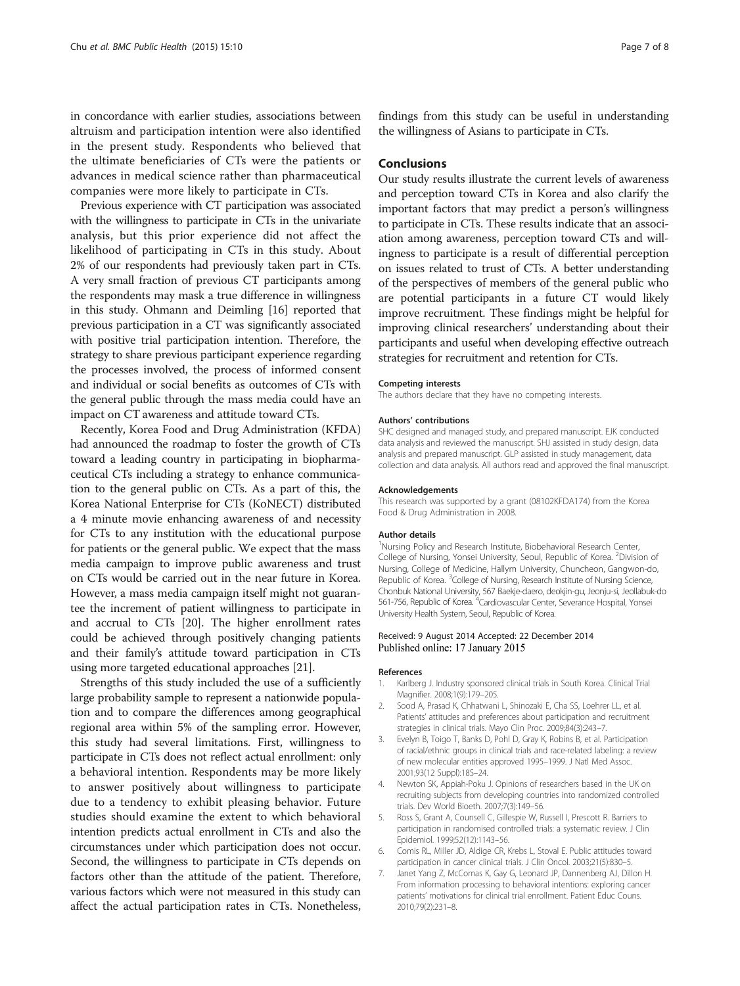<span id="page-6-0"></span>in concordance with earlier studies, associations between altruism and participation intention were also identified in the present study. Respondents who believed that the ultimate beneficiaries of CTs were the patients or advances in medical science rather than pharmaceutical companies were more likely to participate in CTs.

Previous experience with CT participation was associated with the willingness to participate in CTs in the univariate analysis, but this prior experience did not affect the likelihood of participating in CTs in this study. About 2% of our respondents had previously taken part in CTs. A very small fraction of previous CT participants among the respondents may mask a true difference in willingness in this study. Ohmann and Deimling [\[16\]](#page-7-0) reported that previous participation in a CT was significantly associated with positive trial participation intention. Therefore, the strategy to share previous participant experience regarding the processes involved, the process of informed consent and individual or social benefits as outcomes of CTs with the general public through the mass media could have an impact on CT awareness and attitude toward CTs.

Recently, Korea Food and Drug Administration (KFDA) had announced the roadmap to foster the growth of CTs toward a leading country in participating in biopharmaceutical CTs including a strategy to enhance communication to the general public on CTs. As a part of this, the Korea National Enterprise for CTs (KoNECT) distributed a 4 minute movie enhancing awareness of and necessity for CTs to any institution with the educational purpose for patients or the general public. We expect that the mass media campaign to improve public awareness and trust on CTs would be carried out in the near future in Korea. However, a mass media campaign itself might not guarantee the increment of patient willingness to participate in and accrual to CTs [\[20\]](#page-7-0). The higher enrollment rates could be achieved through positively changing patients and their family's attitude toward participation in CTs using more targeted educational approaches [[21](#page-7-0)].

Strengths of this study included the use of a sufficiently large probability sample to represent a nationwide population and to compare the differences among geographical regional area within 5% of the sampling error. However, this study had several limitations. First, willingness to participate in CTs does not reflect actual enrollment: only a behavioral intention. Respondents may be more likely to answer positively about willingness to participate due to a tendency to exhibit pleasing behavior. Future studies should examine the extent to which behavioral intention predicts actual enrollment in CTs and also the circumstances under which participation does not occur. Second, the willingness to participate in CTs depends on factors other than the attitude of the patient. Therefore, various factors which were not measured in this study can affect the actual participation rates in CTs. Nonetheless, findings from this study can be useful in understanding the willingness of Asians to participate in CTs.

#### Conclusions

Our study results illustrate the current levels of awareness and perception toward CTs in Korea and also clarify the important factors that may predict a person's willingness to participate in CTs. These results indicate that an association among awareness, perception toward CTs and willingness to participate is a result of differential perception on issues related to trust of CTs. A better understanding of the perspectives of members of the general public who are potential participants in a future CT would likely improve recruitment. These findings might be helpful for improving clinical researchers' understanding about their participants and useful when developing effective outreach strategies for recruitment and retention for CTs.

#### Competing interests

The authors declare that they have no competing interests.

#### Authors' contributions

SHC designed and managed study, and prepared manuscript. EJK conducted data analysis and reviewed the manuscript. SHJ assisted in study design, data analysis and prepared manuscript. GLP assisted in study management, data collection and data analysis. All authors read and approved the final manuscript.

#### Acknowledgements

This research was supported by a grant (08102KFDA174) from the Korea Food & Drug Administration in 2008.

#### Author details

<sup>1</sup>Nursing Policy and Research Institute, Biobehavioral Research Center, College of Nursing, Yonsei University, Seoul, Republic of Korea. <sup>2</sup>Division of Nursing, College of Medicine, Hallym University, Chuncheon, Gangwon-do, Republic of Korea. <sup>3</sup>College of Nursing, Research Institute of Nursing Science, Chonbuk National University, 567 Baekje-daero, deokjin-gu, Jeonju-si, Jeollabuk-do 561-756, Republic of Korea. <sup>4</sup>Cardiovascular Center, Severance Hospital, Yonsei University Health System, Seoul, Republic of Korea.

#### Received: 9 August 2014 Accepted: 22 December 2014 Published online: 17 January 2015

#### References

- 1. Karlberg J. Industry sponsored clinical trials in South Korea. Clinical Trial Magnifier. 2008;1(9):179–205.
- 2. Sood A, Prasad K, Chhatwani L, Shinozaki E, Cha SS, Loehrer LL, et al. Patients' attitudes and preferences about participation and recruitment strategies in clinical trials. Mayo Clin Proc. 2009;84(3):243–7.
- 3. Evelyn B, Toigo T, Banks D, Pohl D, Gray K, Robins B, et al. Participation of racial/ethnic groups in clinical trials and race-related labeling: a review of new molecular entities approved 1995–1999. J Natl Med Assoc. 2001;93(12 Suppl):18S–24.
- 4. Newton SK, Appiah-Poku J. Opinions of researchers based in the UK on recruiting subjects from developing countries into randomized controlled trials. Dev World Bioeth. 2007;7(3):149–56.
- 5. Ross S, Grant A, Counsell C, Gillespie W, Russell I, Prescott R. Barriers to participation in randomised controlled trials: a systematic review. J Clin Epidemiol. 1999;52(12):1143–56.
- 6. Comis RL, Miller JD, Aldige CR, Krebs L, Stoval E. Public attitudes toward participation in cancer clinical trials. J Clin Oncol. 2003;21(5):830–5.
- 7. Janet Yang Z, McComas K, Gay G, Leonard JP, Dannenberg AJ, Dillon H. From information processing to behavioral intentions: exploring cancer patients' motivations for clinical trial enrollment. Patient Educ Couns. 2010;79(2):231–8.